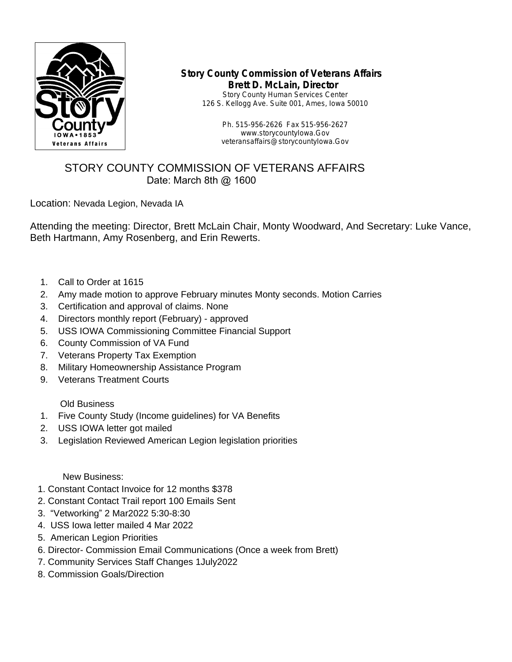

## **Story County Commission of Veterans Affairs Brett D. McLain, Director**

Story County Human Services Center 126 S. Kellogg Ave. Suite 001, Ames, Iowa 50010

> Ph. 515-956-2626 Fax 515-956-2627 www.storycountyIowa.Gov veteransaffairs@storycountyIowa.Gov

## STORY COUNTY COMMISSION OF VETERANS AFFAIRS Date: March 8th @ 1600

Location: Nevada Legion, Nevada IA

Attending the meeting: Director, Brett McLain Chair, Monty Woodward, And Secretary: Luke Vance, Beth Hartmann, Amy Rosenberg, and Erin Rewerts.

- 1. Call to Order at 1615
- 2. Amy made motion to approve February minutes Monty seconds. Motion Carries
- 3. Certification and approval of claims. None
- 4. Directors monthly report (February) approved
- 5. USS IOWA Commissioning Committee Financial Support
- 6. County Commission of VA Fund
- 7. Veterans Property Tax Exemption
- 8. Military Homeownership Assistance Program
- 9. Veterans Treatment Courts

Old Business

- 1. Five County Study (Income guidelines) for VA Benefits
- 2. USS IOWA letter got mailed
- 3. Legislation Reviewed American Legion legislation priorities

New Business:

- 1. Constant Contact Invoice for 12 months \$378
- 2. Constant Contact Trail report 100 Emails Sent
- 3. "Vetworking" 2 Mar2022 5:30-8:30
- 4. USS Iowa letter mailed 4 Mar 2022
- 5. American Legion Priorities
- 6. Director- Commission Email Communications (Once a week from Brett)
- 7. Community Services Staff Changes 1July2022
- 8. Commission Goals/Direction